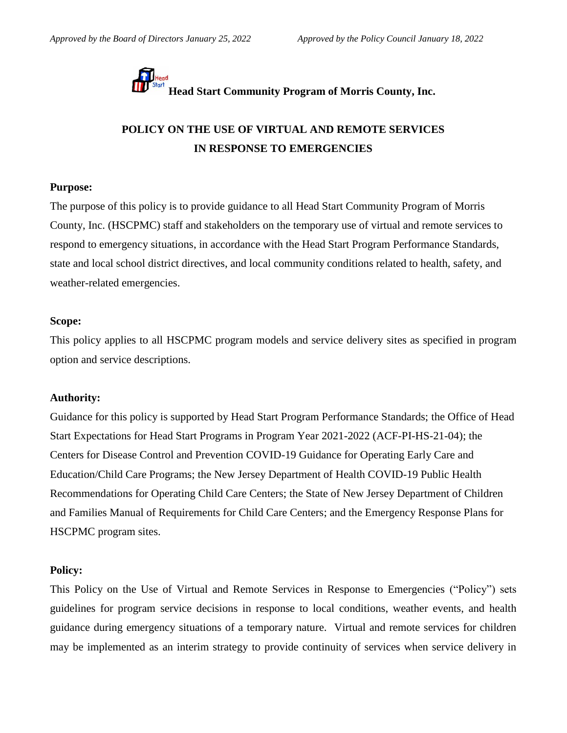

# **POLICY ON THE USE OF VIRTUAL AND REMOTE SERVICES IN RESPONSE TO EMERGENCIES**

# **Purpose:**

The purpose of this policy is to provide guidance to all Head Start Community Program of Morris County, Inc. (HSCPMC) staff and stakeholders on the temporary use of virtual and remote services to respond to emergency situations, in accordance with the Head Start Program Performance Standards, state and local school district directives, and local community conditions related to health, safety, and weather-related emergencies.

### **Scope:**

This policy applies to all HSCPMC program models and service delivery sites as specified in program option and service descriptions.

### **Authority:**

Guidance for this policy is supported by Head Start Program Performance Standards; the Office of Head Start Expectations for Head Start Programs in Program Year 2021-2022 (ACF-PI-HS-21-04); the Centers for Disease Control and Prevention COVID-19 Guidance for Operating Early Care and Education/Child Care Programs; the New Jersey Department of Health COVID-19 Public Health Recommendations for Operating Child Care Centers; the State of New Jersey Department of Children and Families Manual of Requirements for Child Care Centers; and the Emergency Response Plans for HSCPMC program sites.

### **Policy:**

This Policy on the Use of Virtual and Remote Services in Response to Emergencies ("Policy") sets guidelines for program service decisions in response to local conditions, weather events, and health guidance during emergency situations of a temporary nature. Virtual and remote services for children may be implemented as an interim strategy to provide continuity of services when service delivery in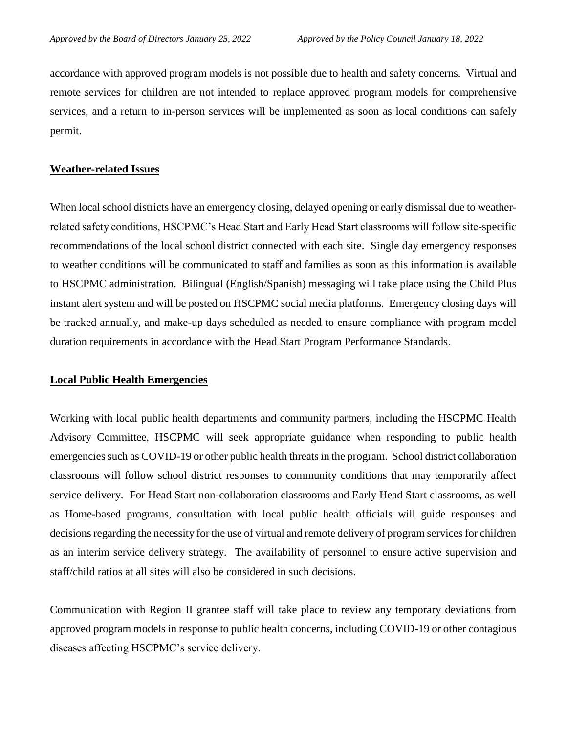accordance with approved program models is not possible due to health and safety concerns. Virtual and remote services for children are not intended to replace approved program models for comprehensive services, and a return to in-person services will be implemented as soon as local conditions can safely permit.

### **Weather-related Issues**

When local school districts have an emergency closing, delayed opening or early dismissal due to weatherrelated safety conditions, HSCPMC's Head Start and Early Head Start classrooms will follow site-specific recommendations of the local school district connected with each site. Single day emergency responses to weather conditions will be communicated to staff and families as soon as this information is available to HSCPMC administration. Bilingual (English/Spanish) messaging will take place using the Child Plus instant alert system and will be posted on HSCPMC social media platforms. Emergency closing days will be tracked annually, and make-up days scheduled as needed to ensure compliance with program model duration requirements in accordance with the Head Start Program Performance Standards.

### **Local Public Health Emergencies**

Working with local public health departments and community partners, including the HSCPMC Health Advisory Committee, HSCPMC will seek appropriate guidance when responding to public health emergencies such as COVID-19 or other public health threats in the program. School district collaboration classrooms will follow school district responses to community conditions that may temporarily affect service delivery. For Head Start non-collaboration classrooms and Early Head Start classrooms, as well as Home-based programs, consultation with local public health officials will guide responses and decisions regarding the necessity for the use of virtual and remote delivery of program services for children as an interim service delivery strategy. The availability of personnel to ensure active supervision and staff/child ratios at all sites will also be considered in such decisions.

Communication with Region II grantee staff will take place to review any temporary deviations from approved program models in response to public health concerns, including COVID-19 or other contagious diseases affecting HSCPMC's service delivery.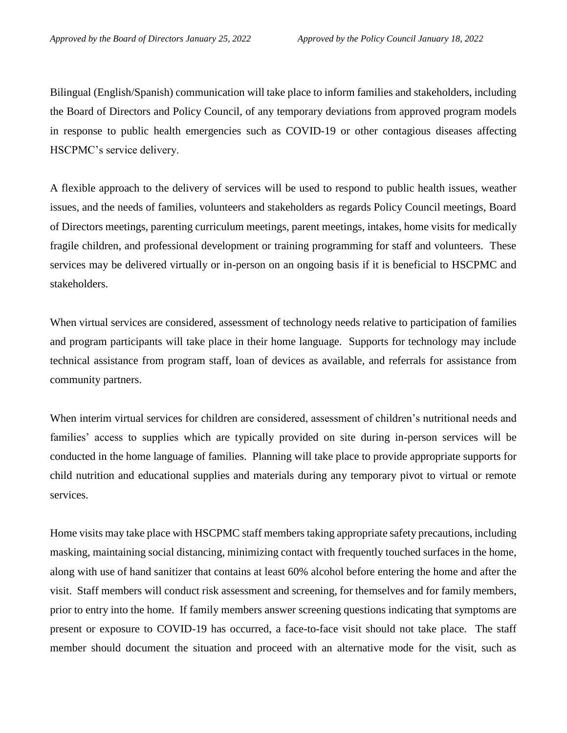Bilingual (English/Spanish) communication will take place to inform families and stakeholders, including the Board of Directors and Policy Council, of any temporary deviations from approved program models in response to public health emergencies such as COVID-19 or other contagious diseases affecting HSCPMC's service delivery.

A flexible approach to the delivery of services will be used to respond to public health issues, weather issues, and the needs of families, volunteers and stakeholders as regards Policy Council meetings, Board of Directors meetings, parenting curriculum meetings, parent meetings, intakes, home visits for medically fragile children, and professional development or training programming for staff and volunteers. These services may be delivered virtually or in-person on an ongoing basis if it is beneficial to HSCPMC and stakeholders.

When virtual services are considered, assessment of technology needs relative to participation of families and program participants will take place in their home language. Supports for technology may include technical assistance from program staff, loan of devices as available, and referrals for assistance from community partners.

When interim virtual services for children are considered, assessment of children's nutritional needs and families' access to supplies which are typically provided on site during in-person services will be conducted in the home language of families. Planning will take place to provide appropriate supports for child nutrition and educational supplies and materials during any temporary pivot to virtual or remote services.

Home visits may take place with HSCPMC staff members taking appropriate safety precautions, including masking, maintaining social distancing, minimizing contact with frequently touched surfaces in the home, along with use of hand sanitizer that contains at least 60% alcohol before entering the home and after the visit. Staff members will conduct risk assessment and screening, for themselves and for family members, prior to entry into the home. If family members answer screening questions indicating that symptoms are present or exposure to COVID-19 has occurred, a face-to-face visit should not take place. The staff member should document the situation and proceed with an alternative mode for the visit, such as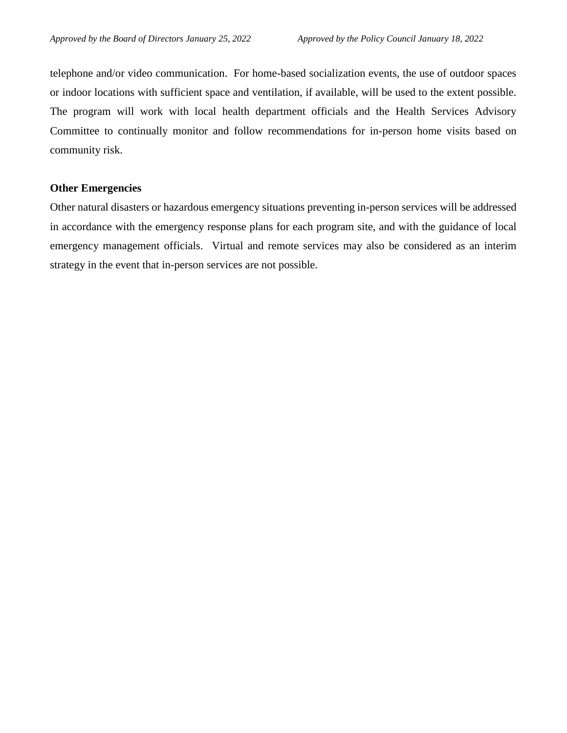telephone and/or video communication. For home-based socialization events, the use of outdoor spaces or indoor locations with sufficient space and ventilation, if available, will be used to the extent possible. The program will work with local health department officials and the Health Services Advisory Committee to continually monitor and follow recommendations for in-person home visits based on community risk.

### **Other Emergencies**

Other natural disasters or hazardous emergency situations preventing in-person services will be addressed in accordance with the emergency response plans for each program site, and with the guidance of local emergency management officials. Virtual and remote services may also be considered as an interim strategy in the event that in-person services are not possible.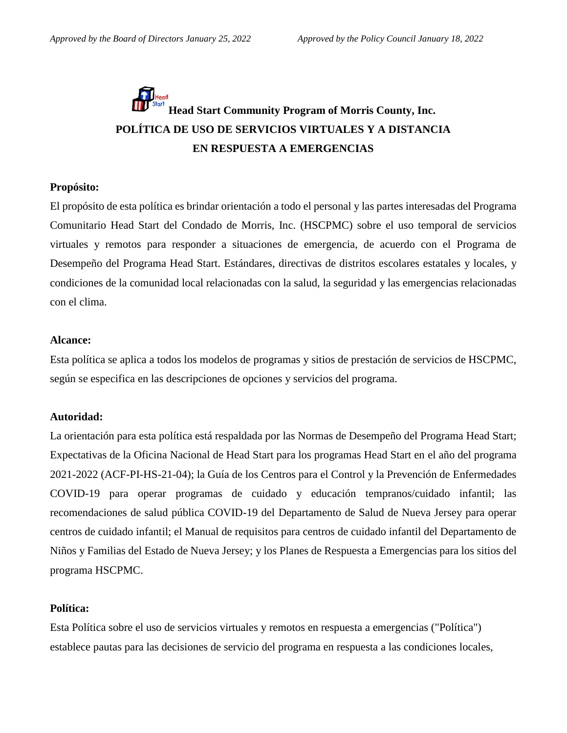# **Head Start Community Program of Morris County, Inc. POLÍTICA DE USO DE SERVICIOS VIRTUALES Y A DISTANCIA EN RESPUESTA A EMERGENCIAS**

### **Propósito:**

El propósito de esta política es brindar orientación a todo el personal y las partes interesadas del Programa Comunitario Head Start del Condado de Morris, Inc. (HSCPMC) sobre el uso temporal de servicios virtuales y remotos para responder a situaciones de emergencia, de acuerdo con el Programa de Desempeño del Programa Head Start. Estándares, directivas de distritos escolares estatales y locales, y condiciones de la comunidad local relacionadas con la salud, la seguridad y las emergencias relacionadas con el clima.

### **Alcance:**

Esta política se aplica a todos los modelos de programas y sitios de prestación de servicios de HSCPMC, según se especifica en las descripciones de opciones y servicios del programa.

### **Autoridad:**

La orientación para esta política está respaldada por las Normas de Desempeño del Programa Head Start; Expectativas de la Oficina Nacional de Head Start para los programas Head Start en el año del programa 2021-2022 (ACF-PI-HS-21-04); la Guía de los Centros para el Control y la Prevención de Enfermedades COVID-19 para operar programas de cuidado y educación tempranos/cuidado infantil; las recomendaciones de salud pública COVID-19 del Departamento de Salud de Nueva Jersey para operar centros de cuidado infantil; el Manual de requisitos para centros de cuidado infantil del Departamento de Niños y Familias del Estado de Nueva Jersey; y los Planes de Respuesta a Emergencias para los sitios del programa HSCPMC.

# **Política:**

Esta Política sobre el uso de servicios virtuales y remotos en respuesta a emergencias ("Política") establece pautas para las decisiones de servicio del programa en respuesta a las condiciones locales,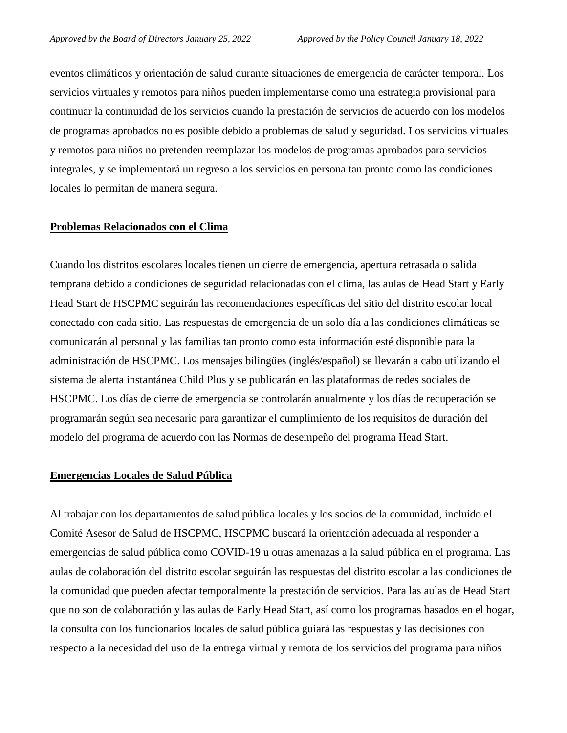eventos climáticos y orientación de salud durante situaciones de emergencia de carácter temporal. Los servicios virtuales y remotos para niños pueden implementarse como una estrategia provisional para continuar la continuidad de los servicios cuando la prestación de servicios de acuerdo con los modelos de programas aprobados no es posible debido a problemas de salud y seguridad. Los servicios virtuales y remotos para niños no pretenden reemplazar los modelos de programas aprobados para servicios integrales, y se implementará un regreso a los servicios en persona tan pronto como las condiciones locales lo permitan de manera segura.

#### **Problemas Relacionados con el Clima**

Cuando los distritos escolares locales tienen un cierre de emergencia, apertura retrasada o salida temprana debido a condiciones de seguridad relacionadas con el clima, las aulas de Head Start y Early Head Start de HSCPMC seguirán las recomendaciones específicas del sitio del distrito escolar local conectado con cada sitio. Las respuestas de emergencia de un solo día a las condiciones climáticas se comunicarán al personal y las familias tan pronto como esta información esté disponible para la administración de HSCPMC. Los mensajes bilingües (inglés/español) se llevarán a cabo utilizando el sistema de alerta instantánea Child Plus y se publicarán en las plataformas de redes sociales de HSCPMC. Los días de cierre de emergencia se controlarán anualmente y los días de recuperación se programarán según sea necesario para garantizar el cumplimiento de los requisitos de duración del modelo del programa de acuerdo con las Normas de desempeño del programa Head Start.

### **Emergencias Locales de Salud Pública**

Al trabajar con los departamentos de salud pública locales y los socios de la comunidad, incluido el Comité Asesor de Salud de HSCPMC, HSCPMC buscará la orientación adecuada al responder a emergencias de salud pública como COVID-19 u otras amenazas a la salud pública en el programa. Las aulas de colaboración del distrito escolar seguirán las respuestas del distrito escolar a las condiciones de la comunidad que pueden afectar temporalmente la prestación de servicios. Para las aulas de Head Start que no son de colaboración y las aulas de Early Head Start, así como los programas basados en el hogar, la consulta con los funcionarios locales de salud pública guiará las respuestas y las decisiones con respecto a la necesidad del uso de la entrega virtual y remota de los servicios del programa para niños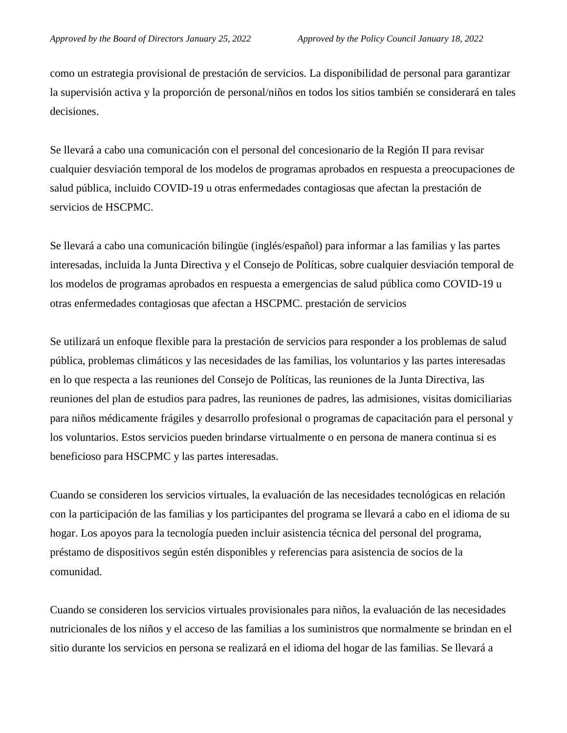como un estrategia provisional de prestación de servicios. La disponibilidad de personal para garantizar la supervisión activa y la proporción de personal/niños en todos los sitios también se considerará en tales decisiones.

Se llevará a cabo una comunicación con el personal del concesionario de la Región II para revisar cualquier desviación temporal de los modelos de programas aprobados en respuesta a preocupaciones de salud pública, incluido COVID-19 u otras enfermedades contagiosas que afectan la prestación de servicios de HSCPMC.

Se llevará a cabo una comunicación bilingüe (inglés/español) para informar a las familias y las partes interesadas, incluida la Junta Directiva y el Consejo de Políticas, sobre cualquier desviación temporal de los modelos de programas aprobados en respuesta a emergencias de salud pública como COVID-19 u otras enfermedades contagiosas que afectan a HSCPMC. prestación de servicios

Se utilizará un enfoque flexible para la prestación de servicios para responder a los problemas de salud pública, problemas climáticos y las necesidades de las familias, los voluntarios y las partes interesadas en lo que respecta a las reuniones del Consejo de Políticas, las reuniones de la Junta Directiva, las reuniones del plan de estudios para padres, las reuniones de padres, las admisiones, visitas domiciliarias para niños médicamente frágiles y desarrollo profesional o programas de capacitación para el personal y los voluntarios. Estos servicios pueden brindarse virtualmente o en persona de manera continua si es beneficioso para HSCPMC y las partes interesadas.

Cuando se consideren los servicios virtuales, la evaluación de las necesidades tecnológicas en relación con la participación de las familias y los participantes del programa se llevará a cabo en el idioma de su hogar. Los apoyos para la tecnología pueden incluir asistencia técnica del personal del programa, préstamo de dispositivos según estén disponibles y referencias para asistencia de socios de la comunidad.

Cuando se consideren los servicios virtuales provisionales para niños, la evaluación de las necesidades nutricionales de los niños y el acceso de las familias a los suministros que normalmente se brindan en el sitio durante los servicios en persona se realizará en el idioma del hogar de las familias. Se llevará a